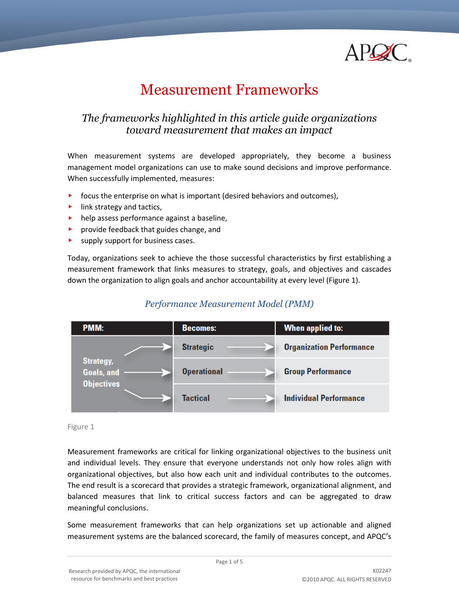

# Measurement Frameworks

# *The frameworks highlighted in this article guide organizations toward measurement that makes an impact*

When measurement systems are developed appropriately, they become a business management model organizations can use to make sound decisions and improve performance. When successfully implemented, measures:

- $\triangleright$  focus the enterprise on what is important (desired behaviors and outcomes),
- $\blacktriangleright$  link strategy and tactics,
- **help assess performance against a baseline,**
- provide feedback that guides change, and
- **EX Supply support for business cases.**

Today, organizations seek to achieve the those successful characteristics by first establishing a measurement framework that links measures to strategy, goals, and objectives and cascades down the organization to align goals and anchor accountability at every level (Figure 1).

## *Performance Measurement Model (PMM)*

| PMM:                                                |  | <b>Becomes:</b>    | When applied to:                |
|-----------------------------------------------------|--|--------------------|---------------------------------|
|                                                     |  | <b>Strategic</b>   | <b>Organization Performance</b> |
| <b>Strategy,</b><br>Goals, and<br><b>Objectives</b> |  | <b>Operational</b> | <b>Group Performance</b>        |
|                                                     |  | <b>Tactical</b>    | <b>Individual Performance</b>   |

Figure 1

Measurement frameworks are critical for linking organizational objectives to the business unit and individual levels. They ensure that everyone understands not only how roles align with organizational objectives, but also how each unit and individual contributes to the outcomes. The end result is a scorecard that provides a strategic framework, organizational alignment, and balanced measures that link to critical success factors and can be aggregated to draw meaningful conclusions.

Some measurement frameworks that can help organizations set up actionable and aligned measurement systems are the balanced scorecard, the family of measures concept, and APQC's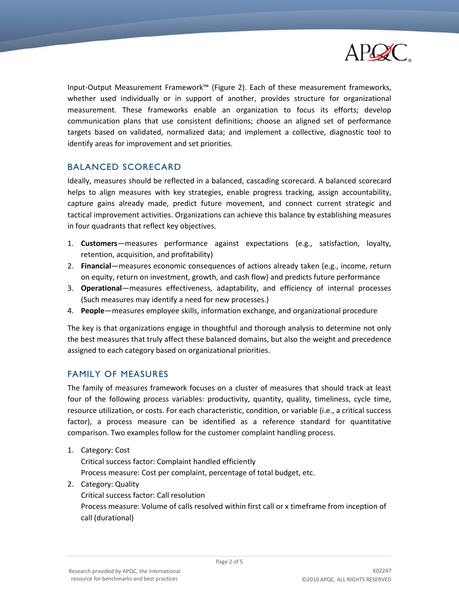

Input-Output Measurement Framework™ (Figure 2). Each of these measurement frameworks, whether used individually or in support of another, provides structure for organizational measurement. These frameworks enable an organization to focus its efforts; develop communication plans that use consistent definitions; choose an aligned set of performance targets based on validated, normalized data; and implement a collective, diagnostic tool to identify areas for improvement and set priorities.

#### BALANCED SCORECARD

Ideally, measures should be reflected in a balanced, cascading scorecard. A balanced scorecard helps to align measures with key strategies, enable progress tracking, assign accountability, capture gains already made, predict future movement, and connect current strategic and tactical improvement activities. Organizations can achieve this balance by establishing measures in four quadrants that reflect key objectives.

- 1. **Customers**—measures performance against expectations (e.g., satisfaction, loyalty, retention, acquisition, and profitability)
- 2. **Financial**—measures economic consequences of actions already taken (e.g., income, return on equity, return on investment, growth, and cash flow) and predicts future performance
- 3. **Operational**—measures effectiveness, adaptability, and efficiency of internal processes (Such measures may identify a need for new processes.)
- 4. **People**—measures employee skills, information exchange, and organizational procedure

The key is that organizations engage in thoughtful and thorough analysis to determine not only the best measures that truly affect these balanced domains, but also the weight and precedence assigned to each category based on organizational priorities.

#### FAMILY OF MEASURES

The family of measures framework focuses on a cluster of measures that should track at least four of the following process variables: productivity, quantity, quality, timeliness, cycle time, resource utilization, or costs. For each characteristic, condition, or variable (i.e., a critical success factor), a process measure can be identified as a reference standard for quantitative comparison. Two examples follow for the customer complaint handling process.

1. Category: Cost

Critical success factor: Complaint handled efficiently Process measure: Cost per complaint, percentage of total budget, etc.

2. Category: Quality Critical success factor: Call resolution Process measure: Volume of calls resolved within first call or x timeframe from inception of call (durational)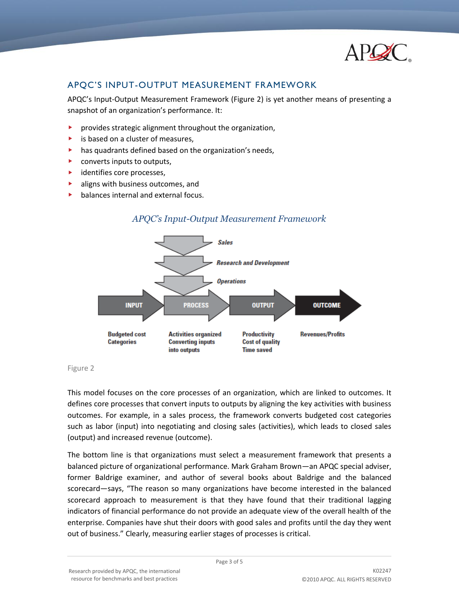

### APQC'S INPUT-OUTPUT MEASUREMENT FRAMEWORK

APQC's Input-Output Measurement Framework (Figure 2) is yet another means of presenting a snapshot of an organization's performance. It:

- provides strategic alignment throughout the organization,
- $\blacktriangleright$  is based on a cluster of measures,
- has quadrants defined based on the organization's needs,
- ▶ converts inputs to outputs,
- $\blacktriangleright$  identifies core processes,
- aligns with business outcomes, and
- $\blacktriangleright$  balances internal and external focus.



#### *APQC's Input-Output Measurement Framework*

Figure 2

This model focuses on the core processes of an organization, which are linked to outcomes. It defines core processes that convert inputs to outputs by aligning the key activities with business outcomes. For example, in a sales process, the framework converts budgeted cost categories such as labor (input) into negotiating and closing sales (activities), which leads to closed sales (output) and increased revenue (outcome).

The bottom line is that organizations must select a measurement framework that presents a balanced picture of organizational performance. Mark Graham Brown—an APQC special adviser, former Baldrige examiner, and author of several books about Baldrige and the balanced scorecard—says, "The reason so many organizations have become interested in the balanced scorecard approach to measurement is that they have found that their traditional lagging indicators of financial performance do not provide an adequate view of the overall health of the enterprise. Companies have shut their doors with good sales and profits until the day they went out of business." Clearly, measuring earlier stages of processes is critical.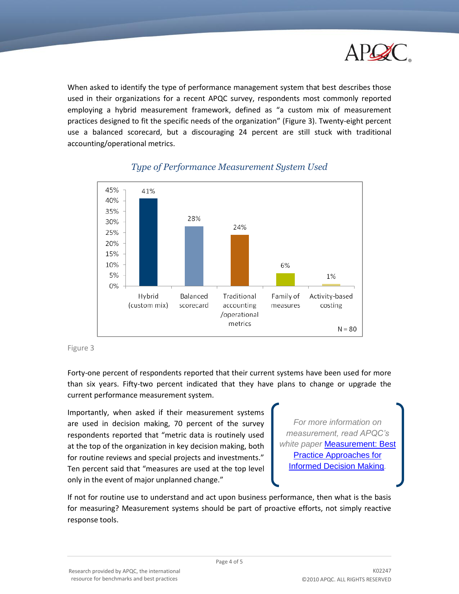

When asked to identify the type of performance management system that best describes those used in their organizations for a recent APQC survey, respondents most commonly reported employing a hybrid measurement framework, defined as "a custom mix of measurement practices designed to fit the specific needs of the organization" (Figure 3). Twenty-eight percent use a balanced scorecard, but a discouraging 24 percent are still stuck with traditional accounting/operational metrics.



# *Type of Performance Measurement System Used*

Forty-one percent of respondents reported that their current systems have been used for more than six years. Fifty-two percent indicated that they have plans to change or upgrade the current performance measurement system.

Importantly, when asked if their measurement systems are used in decision making, 70 percent of the survey respondents reported that "metric data is routinely used at the top of the organization in key decision making, both for routine reviews and special projects and investments." Ten percent said that "measures are used at the top level only in the event of major unplanned change."

*For more information on measurement, read APQC's white paper* [Measurement: Best](http://www.apqc.org/node/142250)  [Practice Approaches for](http://www.apqc.org/node/142250)  [Informed Decision Making](http://www.apqc.org/node/142250)*.*

If not for routine use to understand and act upon business performance, then what is the basis for measuring? Measurement systems should be part of proactive efforts, not simply reactive response tools.

Figure 3